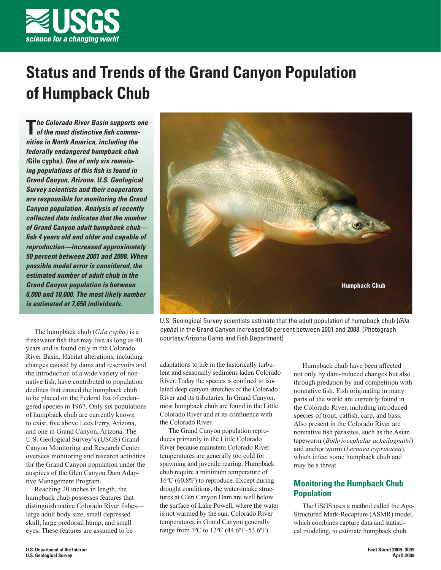

# **Status and Trends of the Grand Canyon Population of Humpback Chub**

**T***he Colorado River Basin supports one*<br>of the most distinctive fish commu*nities in North America, including the federally endangered humpback chub (***Gila cypha***). One of only six remaining populations of this fish is found in Grand Canyon, Arizona. U.S. Geological Survey scientists and their cooperators are responsible for monitoring the Grand Canyon population. Analysis of recently collected data indicates that the number of Grand Canyon adult humpback chub fi sh 4 years old and older and capable of reproduction—increased approximately 50 percent between 2001 and 2008. When possible model error is considered, the estimated number of adult chub in the Grand Canyon population is between 6,000 and 10,000. The most likely number is estimated at 7,650 individuals.*

The humpback chub (*Gila cypha*) is a freshwater fish that may live as long as 40 years and is found only in the Colorado River Basin. Habitat alterations, including changes caused by dams and reservoirs and the introduction of a wide variety of nonnative fish, have contributed to population declines that caused the humpback chub to be placed on the Federal list of endangered species in 1967. Only six populations of humpback chub are currently known to exist, five above Lees Ferry, Arizona, and one in Grand Canyon, Arizona. The U.S. Geological Survey's (USGS) Grand Canyon Monitoring and Research Center oversees monitoring and research activities for the Grand Canyon population under the auspices of the Glen Canyon Dam Adaptive Management Program.

Reaching 20 inches in length, the humpback chub possesses features that distinguish native Colorado River fishes large adult body size, small depressed skull, large predorsal hump, and small eyes. These features are assumed to be



U.S. Geological Survey scientists estimate that the adult population of humpback chub (*Gila cypha*) in the Grand Canyon increased 50 percent between 2001 and 2008. (Photograph courtesy Arizona Game and Fish Department)

adaptations to life in the historically turbulent and seasonally sediment-laden Colorado River. Today the species is confined to isolated deep canyon stretches of the Colorado River and its tributaries. In Grand Canyon, most humpback chub are found in the Little Colorado River and at its confluence with the Colorado River.

The Grand Canyon population reproduces primarily in the Little Colorado River because mainstem Colorado River temperatures are generally too cold for spawning and juvenile rearing. Humpback chub require a minimum temperature of 16ºC (60.8ºF) to reproduce. Except during drought conditions, the water-intake structures at Glen Canyon Dam are well below the surface of Lake Powell, where the water is not warmed by the sun. Colorado River temperatures in Grand Canyon generally range from 7ºC to 12ºC (44.6ºF–53.6ºF).

Humpback chub have been affected not only by dam-induced changes but also through predation by and competition with nonnative fish. Fish originating in many parts of the world are currently found in the Colorado River, including introduced species of trout, catfish, carp, and bass. Also present in the Colorado River are nonnative fish parasites, such as the Asian tapeworm (*Bothriocephalus acheilognathi*) and anchor worm (*Lernaea cyprinacea*), which infect some humpback chub and may be a threat.

## **Monitoring the Humpback Chub Population**

The USGS uses a method called the Age-Structured Mark-Recapture (ASMR) model, which combines capture data and statistical modeling, to estimate humpback chub